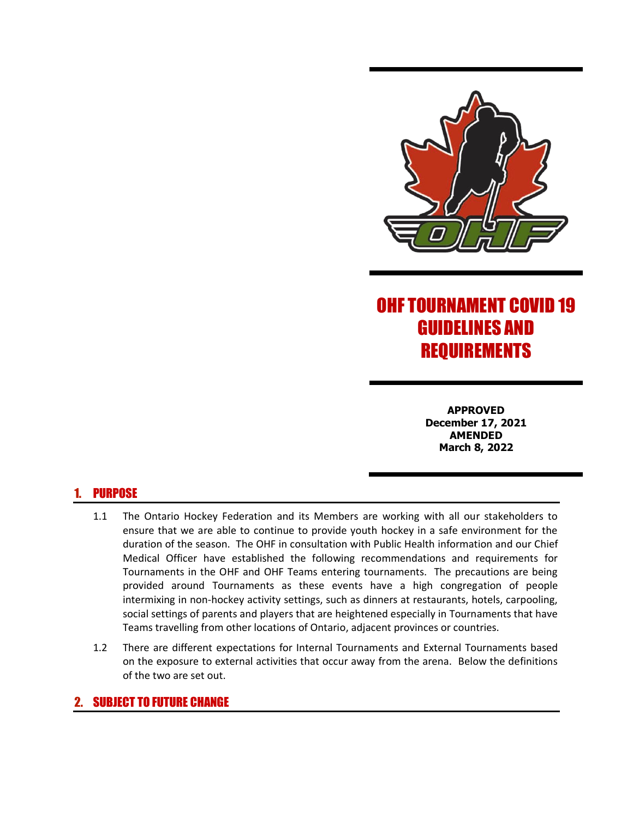

# OHF TOURNAMENT COVID 19 GUIDELINES AND REQUIREMENTS

**APPROVED December 17, 2021 AMENDED March 8, 2022**

# 1. PURPOSE

- 1.1 The Ontario Hockey Federation and its Members are working with all our stakeholders to ensure that we are able to continue to provide youth hockey in a safe environment for the duration of the season. The OHF in consultation with Public Health information and our Chief Medical Officer have established the following recommendations and requirements for Tournaments in the OHF and OHF Teams entering tournaments. The precautions are being provided around Tournaments as these events have a high congregation of people intermixing in non-hockey activity settings, such as dinners at restaurants, hotels, carpooling, social settings of parents and players that are heightened especially in Tournaments that have Teams travelling from other locations of Ontario, adjacent provinces or countries.
- 1.2 There are different expectations for Internal Tournaments and External Tournaments based on the exposure to external activities that occur away from the arena. Below the definitions of the two are set out.

## 2. SUBJECT TO FUTURE CHANGE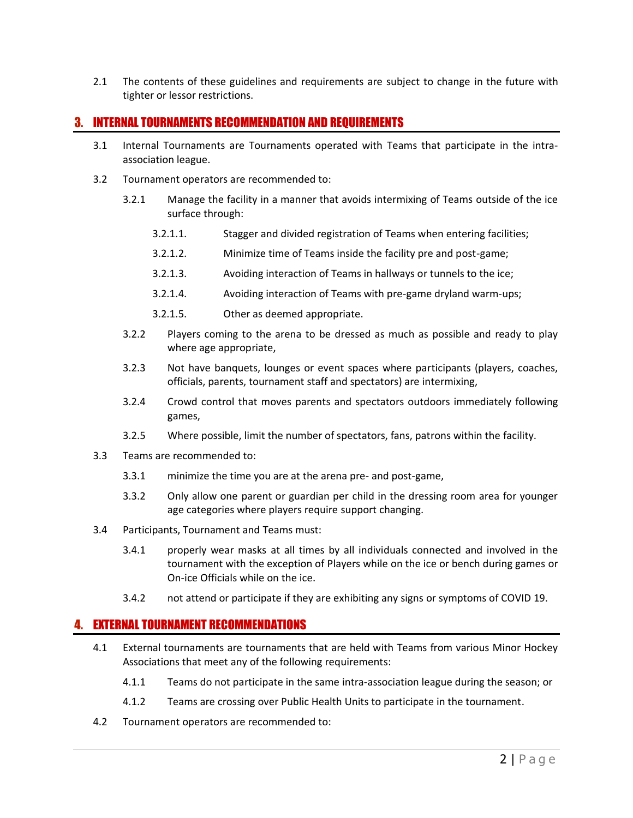2.1 The contents of these guidelines and requirements are subject to change in the future with tighter or lessor restrictions.

### 3. INTERNAL TOURNAMENTS RECOMMENDATION AND REQUIREMENTS

- 3.1 Internal Tournaments are Tournaments operated with Teams that participate in the intraassociation league.
- 3.2 Tournament operators are recommended to:
	- 3.2.1 Manage the facility in a manner that avoids intermixing of Teams outside of the ice surface through:
		- 3.2.1.1. Stagger and divided registration of Teams when entering facilities;
		- 3.2.1.2. Minimize time of Teams inside the facility pre and post-game;
		- 3.2.1.3. Avoiding interaction of Teams in hallways or tunnels to the ice;
		- 3.2.1.4. Avoiding interaction of Teams with pre-game dryland warm-ups;
		- 3.2.1.5. Other as deemed appropriate.
	- 3.2.2 Players coming to the arena to be dressed as much as possible and ready to play where age appropriate,
	- 3.2.3 Not have banquets, lounges or event spaces where participants (players, coaches, officials, parents, tournament staff and spectators) are intermixing,
	- 3.2.4 Crowd control that moves parents and spectators outdoors immediately following games,
	- 3.2.5 Where possible, limit the number of spectators, fans, patrons within the facility.
- 3.3 Teams are recommended to:
	- 3.3.1 minimize the time you are at the arena pre- and post-game,
	- 3.3.2 Only allow one parent or guardian per child in the dressing room area for younger age categories where players require support changing.
- 3.4 Participants, Tournament and Teams must:
	- 3.4.1 properly wear masks at all times by all individuals connected and involved in the tournament with the exception of Players while on the ice or bench during games or On-ice Officials while on the ice.
	- 3.4.2 not attend or participate if they are exhibiting any signs or symptoms of COVID 19.

#### 4. EXTERNAL TOURNAMENT RECOMMENDATIONS

- 4.1 External tournaments are tournaments that are held with Teams from various Minor Hockey Associations that meet any of the following requirements:
	- 4.1.1 Teams do not participate in the same intra-association league during the season; or
	- 4.1.2 Teams are crossing over Public Health Units to participate in the tournament.
- 4.2 Tournament operators are recommended to: